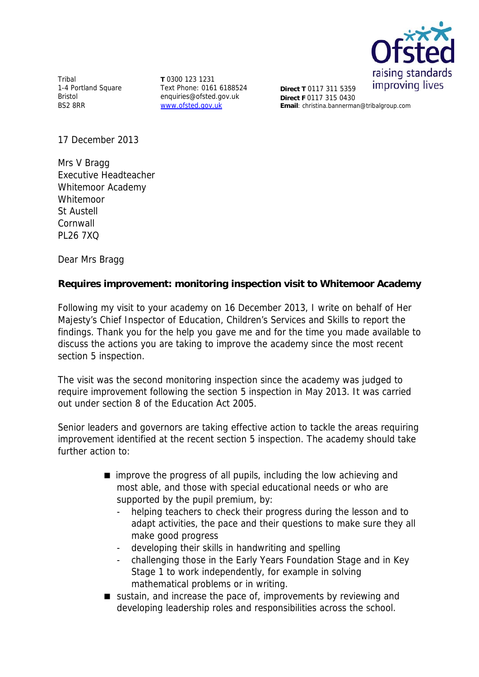

Tribal 1-4 Portland Square Bristol BS2 8RR

**T** 0300 123 1231 Text Phone: 0161 6188524 enquiries@ofsted.gov.uk www.ofsted.gov.uk

**Direct T** 0117 311 5359 **Direct F** 0117 315 0430 **Email**: christina.bannerman@tribalgroup.com

17 December 2013

Mrs V Bragg Executive Headteacher Whitemoor Academy **Whitemoor** St Austell Cornwall PL26 7XQ

Dear Mrs Bragg

### **Requires improvement: monitoring inspection visit to Whitemoor Academy**

Following my visit to your academy on 16 December 2013, I write on behalf of Her Majesty's Chief Inspector of Education, Children's Services and Skills to report the findings. Thank you for the help you gave me and for the time you made available to discuss the actions you are taking to improve the academy since the most recent section 5 inspection.

The visit was the second monitoring inspection since the academy was judged to require improvement following the section 5 inspection in May 2013. It was carried out under section 8 of the Education Act 2005.

Senior leaders and governors are taking effective action to tackle the areas requiring improvement identified at the recent section 5 inspection. The academy should take further action to:

- improve the progress of all pupils, including the low achieving and most able, and those with special educational needs or who are supported by the pupil premium, by:
	- helping teachers to check their progress during the lesson and to adapt activities, the pace and their questions to make sure they all make good progress
	- developing their skills in handwriting and spelling
	- challenging those in the Early Years Foundation Stage and in Key Stage 1 to work independently, for example in solving mathematical problems or in writing.
- sustain, and increase the pace of, improvements by reviewing and developing leadership roles and responsibilities across the school.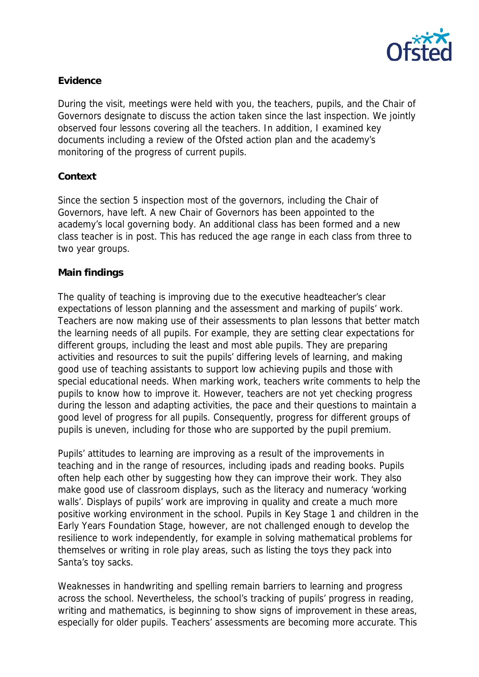

# **Evidence**

During the visit, meetings were held with you, the teachers, pupils, and the Chair of Governors designate to discuss the action taken since the last inspection. We jointly observed four lessons covering all the teachers. In addition, I examined key documents including a review of the Ofsted action plan and the academy's monitoring of the progress of current pupils.

# **Context**

Since the section 5 inspection most of the governors, including the Chair of Governors, have left. A new Chair of Governors has been appointed to the academy's local governing body. An additional class has been formed and a new class teacher is in post. This has reduced the age range in each class from three to two year groups.

### **Main findings**

The quality of teaching is improving due to the executive headteacher's clear expectations of lesson planning and the assessment and marking of pupils' work. Teachers are now making use of their assessments to plan lessons that better match the learning needs of all pupils. For example, they are setting clear expectations for different groups, including the least and most able pupils. They are preparing activities and resources to suit the pupils' differing levels of learning, and making good use of teaching assistants to support low achieving pupils and those with special educational needs. When marking work, teachers write comments to help the pupils to know how to improve it. However, teachers are not yet checking progress during the lesson and adapting activities, the pace and their questions to maintain a good level of progress for all pupils. Consequently, progress for different groups of pupils is uneven, including for those who are supported by the pupil premium.

Pupils' attitudes to learning are improving as a result of the improvements in teaching and in the range of resources, including ipads and reading books. Pupils often help each other by suggesting how they can improve their work. They also make good use of classroom displays, such as the literacy and numeracy 'working walls'. Displays of pupils' work are improving in quality and create a much more positive working environment in the school. Pupils in Key Stage 1 and children in the Early Years Foundation Stage, however, are not challenged enough to develop the resilience to work independently, for example in solving mathematical problems for themselves or writing in role play areas, such as listing the toys they pack into Santa's toy sacks.

Weaknesses in handwriting and spelling remain barriers to learning and progress across the school. Nevertheless, the school's tracking of pupils' progress in reading, writing and mathematics, is beginning to show signs of improvement in these areas, especially for older pupils. Teachers' assessments are becoming more accurate. This